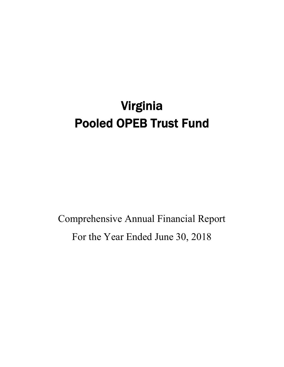# Virginia Pooled OPEB Trust Fund

Comprehensive Annual Financial Report For the Year Ended June 30, 2018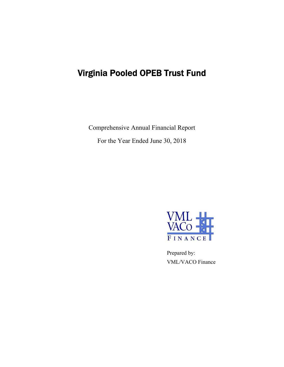# Virginia Pooled OPEB Trust Fund

Comprehensive Annual Financial Report For the Year Ended June 30, 2018



Prepared by: VML/VACO Finance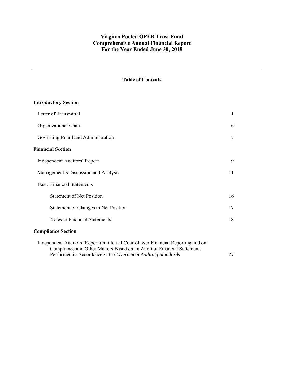### **Virginia Pooled OPEB Trust Fund Comprehensive Annual Financial Report For the Year Ended June 30, 2018**

### **Table of Contents**

### **Introductory Section**

| Letter of Transmittal                                                                                                                                      | $\mathbf{1}$ |
|------------------------------------------------------------------------------------------------------------------------------------------------------------|--------------|
| Organizational Chart                                                                                                                                       | 6            |
| Governing Board and Administration                                                                                                                         | $\tau$       |
| <b>Financial Section</b>                                                                                                                                   |              |
| Independent Auditors' Report                                                                                                                               | 9            |
| Management's Discussion and Analysis                                                                                                                       | 11           |
| <b>Basic Financial Statements</b>                                                                                                                          |              |
| <b>Statement of Net Position</b>                                                                                                                           | 16           |
| Statement of Changes in Net Position                                                                                                                       | 17           |
| Notes to Financial Statements                                                                                                                              | 18           |
| <b>Compliance Section</b>                                                                                                                                  |              |
| Independent Auditors' Report on Internal Control over Financial Reporting and on<br>Compliance and Other Matters Based on an Audit of Financial Statements |              |

Performed in Accordance with *Government Auditing Standards* 27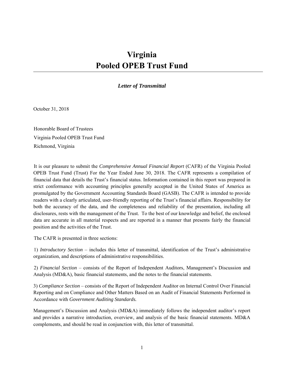## **Virginia Pooled OPEB Trust Fund**

*Letter of Transmittal* 

October 31, 2018

Honorable Board of Trustees Virginia Pooled OPEB Trust Fund Richmond, Virginia

It is our pleasure to submit the *Comprehensive Annual Financial Report* (CAFR) of the Virginia Pooled OPEB Trust Fund (Trust) For the Year Ended June 30, 2018. The CAFR represents a compilation of financial data that details the Trust's financial status. Information contained in this report was prepared in strict conformance with accounting principles generally accepted in the United States of America as promulgated by the Government Accounting Standards Board (GASB). The CAFR is intended to provide readers with a clearly articulated, user-friendly reporting of the Trust's financial affairs. Responsibility for both the accuracy of the data, and the completeness and reliability of the presentation, including all disclosures, rests with the management of the Trust. To the best of our knowledge and belief, the enclosed data are accurate in all material respects and are reported in a manner that presents fairly the financial position and the activities of the Trust.

The CAFR is presented in three sections:

1) *Introductory Section* – includes this letter of transmittal, identification of the Trust's administrative organization, and descriptions of administrative responsibilities.

2) *Financial Section* – consists of the Report of Independent Auditors, Management's Discussion and Analysis (MD&A), basic financial statements, and the notes to the financial statements.

3) *Compliance Section* – consists of the Report of Independent Auditor on Internal Control Over Financial Reporting and on Compliance and Other Matters Based on an Audit of Financial Statements Performed in Accordance with *Government Auditing Standards.* 

Management's Discussion and Analysis (MD&A) immediately follows the independent auditor's report and provides a narrative introduction, overview, and analysis of the basic financial statements. MD&A complements, and should be read in conjunction with, this letter of transmittal.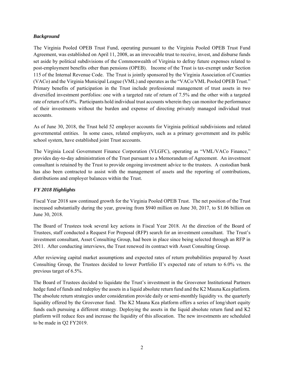### *Background*

The Virginia Pooled OPEB Trust Fund, operating pursuant to the Virginia Pooled OPEB Trust Fund Agreement, was established on April 11, 2008, as an irrevocable trust to receive, invest, and disburse funds set aside by political subdivisions of the Commonwealth of Virginia to defray future expenses related to post-employment benefits other than pensions (OPEB). Income of the Trust is tax-exempt under Section 115 of the Internal Revenue Code. The Trust is jointly sponsored by the Virginia Association of Counties (VACo) and the Virginia Municipal League (VML) and operates as the "VACo/VML Pooled OPEB Trust." Primary benefits of participation in the Trust include professional management of trust assets in two diversified investment portfolios: one with a targeted rate of return of 7.5% and the other with a targeted rate of return of 6.0%. Participants hold individual trust accounts wherein they can monitor the performance of their investments without the burden and expense of directing privately managed individual trust accounts.

As of June 30, 2018, the Trust held 52 employer accounts for Virginia political subdivisions and related governmental entities. In some cases, related employers, such as a primary government and its public school system, have established joint Trust accounts.

The Virginia Local Government Finance Corporation (VLGFC), operating as "VML/VACo Finance," provides day-to-day administration of the Trust pursuant to a Memorandum of Agreement. An investment consultant is retained by the Trust to provide ongoing investment advice to the trustees. A custodian bank has also been contracted to assist with the management of assets and the reporting of contributions, distributions and employer balances within the Trust.

### *FY 2018 Highlights*

Fiscal Year 2018 saw continued growth for the Virginia Pooled OPEB Trust. The net position of the Trust increased substantially during the year, growing from \$940 million on June 30, 2017, to \$1.06 billion on June 30, 2018.

The Board of Trustees took several key actions in Fiscal Year 2018. At the direction of the Board of Trustees, staff conducted a Request For Proposal (RFP) search for an investment consultant. The Trust's investment consultant, Asset Consulting Group, had been in place since being selected through an RFP in 2011. After conducting interviews, the Trust renewed its contract with Asset Consulting Group.

After reviewing capital market assumptions and expected rates of return probabilities prepared by Asset Consulting Group, the Trustees decided to lower Portfolio II's expected rate of return to 6.0% vs. the previous target of 6.5%.

The Board of Trustees decided to liquidate the Trust's investment in the Grosvenor Institutional Partners hedge fund of funds and redeploy the assets in a liquid absolute return fund and the K2 Mauna Kea platform. The absolute return strategies under consideration provide daily or semi-monthly liquidity vs. the quarterly liquidity offered by the Grosvenor fund. The K2 Mauna Kea platform offers a series of long/short equity funds each pursuing a different strategy. Deploying the assets in the liquid absolute return fund and K2 platform will reduce fees and increase the liquidity of this allocation. The new investments are scheduled to be made in Q2 FY2019.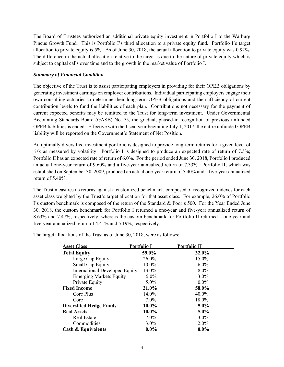The Board of Trustees authorized an additional private equity investment in Portfolio I to the Warburg Pincus Growth Fund. This is Portfolio I's third allocation to a private equity fund. Portfolio I's target allocation to private equity is 5%. As of June 30, 2018, the actual allocation to private equity was 0.92%. The difference in the actual allocation relative to the target is due to the nature of private equity which is subject to capital calls over time and to the growth in the market value of Portfolio I.

### *Summary of Financial Condition*

The objective of the Trust is to assist participating employers in providing for their OPEB obligations by generating investment earnings on employer contributions. Individual participating employers engage their own consulting actuaries to determine their long-term OPEB obligations and the sufficiency of current contribution levels to fund the liabilities of each plan. Contributions not necessary for the payment of current expected benefits may be remitted to the Trust for long-term investment. Under Governmental Accounting Standards Board (GASB) No. 75, the gradual, phased-in recognition of previous unfunded OPEB liabilities is ended. Effective with the fiscal year beginning July 1, 2017, the entire unfunded OPEB liability will be reported on the Government's Statement of Net Position.

An optimally diversified investment portfolio is designed to provide long-term returns for a given level of risk as measured by volatility. Portfolio I is designed to produce an expected rate of return of 7.5%; Portfolio II has an expected rate of return of 6.0%. For the period ended June 30, 2018, Portfolio I produced an actual one-year return of 9.60% and a five-year annualized return of 7.33%. Portfolio II, which was established on September 30, 2009, produced an actual one-year return of 5.40% and a five-year annualized return of 5.40%.

The Trust measures its returns against a customized benchmark, composed of recognized indexes for each asset class weighted by the Trust's target allocation for that asset class. For example, 26.0% of Portfolio I's custom benchmark is composed of the return of the Standard & Poor's 500. For the Year Ended June 30, 2018, the custom benchmark for Portfolio I returned a one-year and five-year annualized return of 8.63% and 7.47%, respectively, whereas the custom benchmark for Portfolio II returned a one year and five-year annualized return of 4.41% and 5.19%, respectively.

| <b>Asset Class</b>                    | <b>Portfolio I</b> | Portfolio II |  |
|---------------------------------------|--------------------|--------------|--|
| <b>Total Equity</b>                   | 59.0%              | <b>32.0%</b> |  |
| Large Cap Equity                      | $26.0\%$           | 15.0%        |  |
| <b>Small Cap Equity</b>               | 10.0%              | $6.0\%$      |  |
| <b>International Developed Equity</b> | 13.0%              | $8.0\%$      |  |
| <b>Emerging Markets Equity</b>        | 5.0%               | $3.0\%$      |  |
| Private Equity                        | $5.0\%$            | $0.0\%$      |  |
| <b>Fixed Income</b>                   | 21.0%              | 58.0%        |  |
| Core Plus                             | 14.0%              | 40.0%        |  |
| Core                                  | $7.0\%$            | 18.0%        |  |
| <b>Diversified Hedge Funds</b>        | 10.0%              | 5.0%         |  |
| <b>Real Assets</b>                    | $10.0\%$           | $5.0\%$      |  |
| <b>Real Estate</b>                    | $7.0\%$            | $3.0\%$      |  |
| Commodities                           | $3.0\%$            | $2.0\%$      |  |
| <b>Cash &amp; Equivalents</b>         | $0.0\%$            | $0.0\%$      |  |

The target allocations of the Trust as of June 30, 2018, were as follows: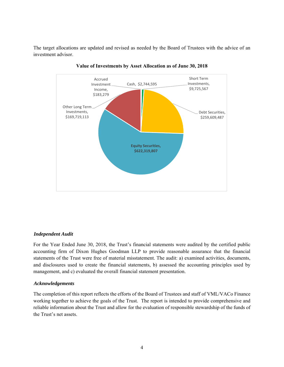The target allocations are updated and revised as needed by the Board of Trustees with the advice of an investment advisor.





### *Independent Audit*

For the Year Ended June 30, 2018, the Trust's financial statements were audited by the certified public accounting firm of Dixon Hughes Goodman LLP to provide reasonable assurance that the financial statements of the Trust were free of material misstatement. The audit: a) examined activities, documents, and disclosures used to create the financial statements, b) assessed the accounting principles used by management, and c) evaluated the overall financial statement presentation.

### *Acknowledgements*

The completion of this report reflects the efforts of the Board of Trustees and staff of VML/VACo Finance working together to achieve the goals of the Trust. The report is intended to provide comprehensive and reliable information about the Trust and allow for the evaluation of responsible stewardship of the funds of the Trust's net assets.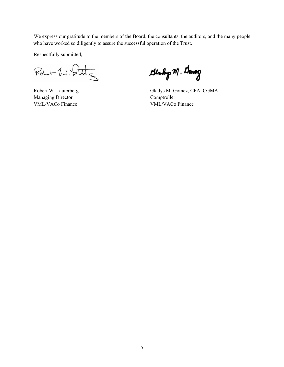We express our gratitude to the members of the Board, the consultants, the auditors, and the many people who have worked so diligently to assure the successful operation of the Trust.

Respectfully submitted,

Rout W. Kitt

Managing Director Comptroller

Glody M. Domeg

Robert W. Lauterberg Gladys M. Gomez, CPA, CGMA VML/VACo Finance VML/VACo Finance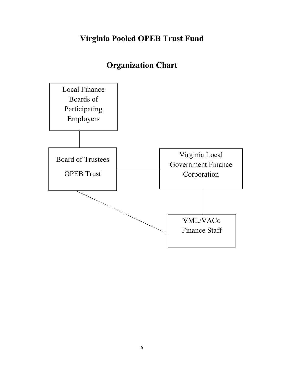# **Virginia Pooled OPEB Trust Fund**

# **Organization Chart**

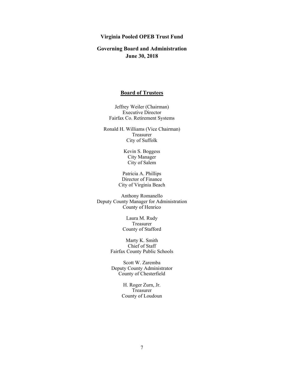### **Virginia Pooled OPEB Trust Fund**

### **Governing Board and Administration June 30, 2018**

### **Board of Trustees**

Jeffrey Weiler (Chairman) Executive Director Fairfax Co. Retirement Systems

Ronald H. Williams (Vice Chairman) Treasurer City of Suffolk

> Kevin S. Boggess City Manager City of Salem

Patricia A. Phillips Director of Finance City of Virginia Beach

Anthony Romanello Deputy County Manager for Administration County of Henrico

> Laura M. Rudy Treasurer County of Stafford

Marty K. Smith Chief of Staff Fairfax County Public Schools

Scott W. Zaremba Deputy County Administrator County of Chesterfield

> H. Roger Zurn, Jr. Treasurer County of Loudoun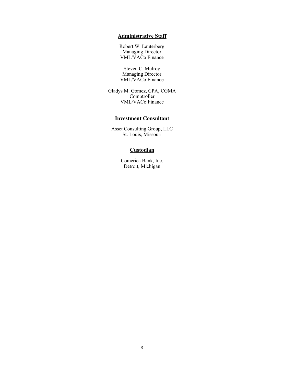### **Administrative Staff**

Robert W. Lauterberg Managing Director VML/VACo Finance

Steven C. Mulroy Managing Director VML/VACo Finance

Gladys M. Gomez, CPA, CGMA Comptroller VML/VACo Finance

### **Investment Consultant**

Asset Consulting Group, LLC St. Louis, Missouri

### **Custodian**

Comerica Bank, Inc. Detroit, Michigan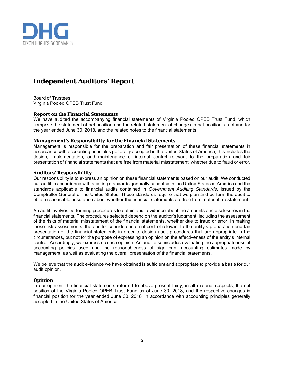

### **Independent Auditors' Report**

Board of Trustees Virginia Pooled OPEB Trust Fund

### **Report on the Financial Statements**

We have audited the accompanying financial statements of Virginia Pooled OPEB Trust Fund, which comprise the statement of net position and the related statement of changes in net position, as of and for the year ended June 30, 2018, and the related notes to the financial statements.

### *Management's Responsibility for the Financial Statements*

Management is responsible for the preparation and fair presentation of these financial statements in accordance with accounting principles generally accepted in the United States of America; this includes the design, implementation, and maintenance of internal control relevant to the preparation and fair presentation of financial statements that are free from material misstatement, whether due to fraud or error.

### *Auditors' Responsibility*

Our responsibility is to express an opinion on these financial statements based on our audit. We conducted our audit in accordance with auditing standards generally accepted in the United States of America and the standards applicable to financial audits contained in *Government Auditing Standards,* issued by the Comptroller General of the United States. Those standards require that we plan and perform the audit to obtain reasonable assurance about whether the financial statements are free from material misstatement.

An audit involves performing procedures to obtain audit evidence about the amounts and disclosures in the financial statements. The procedures selected depend on the auditor's judgment, including the assessment of the risks of material misstatement of the financial statements, whether due to fraud or error. In making those risk assessments, the auditor considers internal control relevant to the entity's preparation and fair presentation of the financial statements in order to design audit procedures that are appropriate in the circumstances, but not for the purpose of expressing an opinion on the effectiveness of the entity's internal control. Accordingly, we express no such opinion. An audit also includes evaluating the appropriateness of accounting policies used and the reasonableness of significant accounting estimates made by management, as well as evaluating the overall presentation of the financial statements.

We believe that the audit evidence we have obtained is sufficient and appropriate to provide a basis for our audit opinion.

### *Opinion*

In our opinion, the financial statements referred to above present fairly, in all material respects, the net position of the Virginia Pooled OPEB Trust Fund as of June 30, 2018, and the respective changes in financial position for the year ended June 30, 2018, in accordance with accounting principles generally accepted in the United States of America.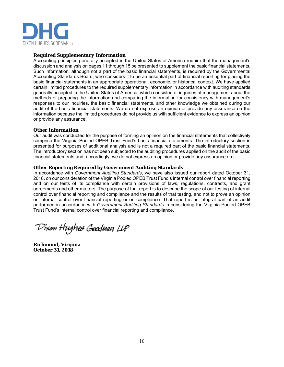

### *Required Supplementary Information*

Accounting principles generally accepted in the United States of America require that the management's discussion and analysis on pages 11 through 15 be presented to supplement the basic financial statements. Such information, although not a part of the basic financial statements, is required by the Governmental Accounting Standards Board, who considers it to be an essential part of financial reporting for placing the basic financial statements in an appropriate operational, economic, or historical context. We have applied certain limited procedures to the required supplementary information in accordance with auditing standards generally accepted in the United States of America, which consisted of inquiries of management about the methods of preparing the information and comparing the information for consistency with management's responses to our inquiries, the basic financial statements, and other knowledge we obtained during our audit of the basic financial statements. We do not express an opinion or provide any assurance on the information because the limited procedures do not provide us with sufficient evidence to express an opinion or provide any assurance.

#### *Other Information*

Our audit was conducted for the purpose of forming an opinion on the financial statements that collectively comprise the Virginia Pooled OPEB Trust Fund's basic financial statements. The introductory section is presented for purposes of additional analysis and is not a required part of the basic financial statements. The introductory section has not been subjected to the auditing procedures applied on the audit of the basic financial statements and, accordingly, we do not express an opinion or provide any assurance on it.

### **Other Reporting Required by** *Government Auditing Standards*

In accordance with *Government Auditing Standards*, we have also issued our report dated October 31, 2018, on our consideration of the Virginia Pooled OPEB Trust Fund's internal control over financial reporting and on our tests of its compliance with certain provisions of laws, regulations, contracts, and grant agreements and other matters. The purpose of that report is to describe the scope of our testing of internal control over financial reporting and compliance and the results of that testing, and not to prove an opinion on internal control over financial reporting or on compliance. That report is an integral part of an audit performed in accordance with *Government Auditing Standards* in considering the Virginia Pooled OPEB Trust Fund's internal control over financial reporting and compliance.

Dixon Hughes Goodman LLP

**Richmond, Virginia October 31, 2018**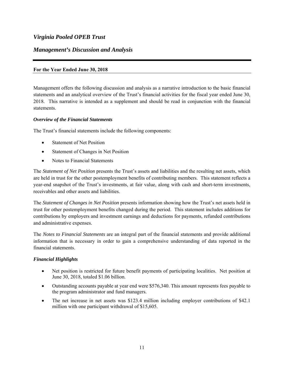### *Management's Discussion and Analysis*

### **For the Year Ended June 30, 2018**

Management offers the following discussion and analysis as a narrative introduction to the basic financial statements and an analytical overview of the Trust's financial activities for the fiscal year ended June 30, 2018. This narrative is intended as a supplement and should be read in conjunction with the financial statements.

### *Overview of the Financial Statements*

The Trust's financial statements include the following components:

- Statement of Net Position
- Statement of Changes in Net Position
- Notes to Financial Statements

The *Statement of Net Position* presents the Trust's assets and liabilities and the resulting net assets, which are held in trust for the other postemployment benefits of contributing members. This statement reflects a year-end snapshot of the Trust's investments, at fair value, along with cash and short-term investments, receivables and other assets and liabilities.

The *Statement of Changes in Net Position* presents information showing how the Trust's net assets held in trust for other postemployment benefits changed during the period. This statement includes additions for contributions by employers and investment earnings and deductions for payments, refunded contributions and administrative expenses.

The *Notes to Financial Statements* are an integral part of the financial statements and provide additional information that is necessary in order to gain a comprehensive understanding of data reported in the financial statements.

### *Financial Highlights*

- Net position is restricted for future benefit payments of participating localities. Net position at June 30, 2018, totaled \$1.06 billion.
- Outstanding accounts payable at year end were \$576,340. This amount represents fees payable to the program administrator and fund managers.
- The net increase in net assets was \$123.4 million including employer contributions of \$42.1 million with one participant withdrawal of \$15,605.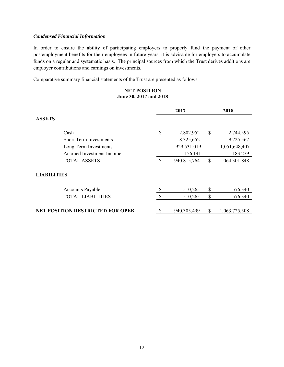### *Condensed Financial Information*

In order to ensure the ability of participating employers to properly fund the payment of other postemployment benefits for their employees in future years, it is advisable for employers to accumulate funds on a regular and systematic basis. The principal sources from which the Trust derives additions are employer contributions and earnings on investments.

Comparative summary financial statements of the Trust are presented as follows:

### **NET POSITION June 30, 2017 and 2018**

|                                         |               | 2017        |               | 2018          |
|-----------------------------------------|---------------|-------------|---------------|---------------|
| <b>ASSETS</b>                           |               |             |               |               |
| Cash                                    | \$            | 2,802,952   | $\mathcal{S}$ | 2,744,595     |
| <b>Short Term Investments</b>           |               | 8,325,652   |               | 9,725,567     |
| Long Term Investments                   |               | 929,531,019 |               | 1,051,648,407 |
| Accrued Investment Income               |               | 156,141     |               | 183,279       |
| <b>TOTAL ASSETS</b>                     | <sup>\$</sup> | 940,815,764 | \$            | 1,064,301,848 |
| <b>LIABILITIES</b>                      |               |             |               |               |
| <b>Accounts Payable</b>                 | \$            | 510,265     | \$            | 576,340       |
| <b>TOTAL LIABILITIES</b>                | \$            | 510,265     | \$            | 576,340       |
| <b>NET POSITION RESTRICTED FOR OPEB</b> |               | 940,305,499 | \$            | 1,063,725,508 |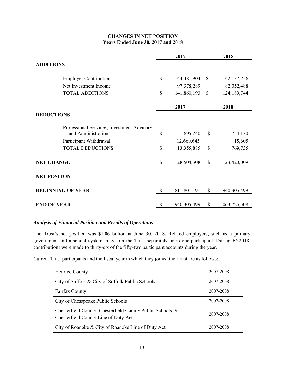### **CHANGES IN NET POSITION Years Ended June 30, 2017 and 2018**

|                                             |               | 2017          |              | 2018          |
|---------------------------------------------|---------------|---------------|--------------|---------------|
| <b>ADDITIONS</b>                            |               |               |              |               |
| <b>Employer Contributions</b>               | \$            | 44,481,904    | $\mathbb{S}$ | 42,137,256    |
| Net Investment Income                       |               | 97,378,289    |              | 82,052,488    |
| <b>TOTAL ADDITIONS</b>                      | $\mathcal{S}$ | 141,860,193   | $\mathbb{S}$ | 124,189,744   |
|                                             |               | 2017          |              | 2018          |
| <b>DEDUCTIONS</b>                           |               |               |              |               |
| Professional Services, Investment Advisory, |               |               |              |               |
| and Administration                          | \$            | 695,240       | <sup>S</sup> | 754,130       |
| Participant Withdrawal                      |               | 12,660,645    |              | 15,605        |
| <b>TOTAL DEDUCTIONS</b>                     | $\mathcal{S}$ | 13,355,885    | \$           | 769,735       |
| <b>NET CHANGE</b>                           | $\mathbb{S}$  | 128,504,308   | $\mathbb{S}$ | 123,420,009   |
| <b>NET POSITON</b>                          |               |               |              |               |
| <b>BEGINNING OF YEAR</b>                    | $\mathbb{S}$  | 811,801,191   | \$           | 940, 305, 499 |
| <b>END OF YEAR</b>                          | \$            | 940, 305, 499 | $\mathbb{S}$ | 1,063,725,508 |

### *Analysis of Financial Position and Results of Operations*

The Trust's net position was \$1.06 billion at June 30, 2018. Related employers, such as a primary government and a school system, may join the Trust separately or as one participant. During FY2018, contributions were made to thirty-six of the fifty-two participant accounts during the year.

Current Trust participants and the fiscal year in which they joined the Trust are as follows:

| Henrico County                                                                                     | 2007-2008 |
|----------------------------------------------------------------------------------------------------|-----------|
| City of Suffolk & City of Suffolk Public Schools                                                   | 2007-2008 |
| Fairfax County                                                                                     | 2007-2008 |
| City of Chesapeake Public Schools                                                                  | 2007-2008 |
| Chesterfield County, Chesterfield County Public Schools, &<br>Chesterfield County Line of Duty Act | 2007-2008 |
| City of Roanoke & City of Roanoke Line of Duty Act                                                 | 2007-2008 |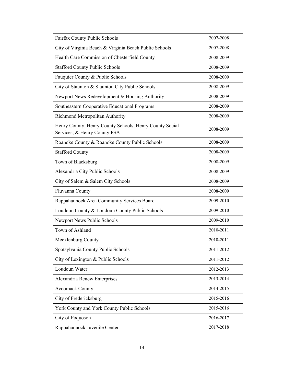| Fairfax County Public Schools                                                           | 2007-2008 |
|-----------------------------------------------------------------------------------------|-----------|
| City of Virginia Beach & Virginia Beach Public Schools                                  | 2007-2008 |
| Health Care Commission of Chesterfield County                                           | 2008-2009 |
| <b>Stafford County Public Schools</b>                                                   | 2008-2009 |
| Fauquier County & Public Schools                                                        | 2008-2009 |
| City of Staunton & Staunton City Public Schools                                         | 2008-2009 |
| Newport News Redevelopment & Housing Authority                                          | 2008-2009 |
| Southeastern Cooperative Educational Programs                                           | 2008-2009 |
| Richmond Metropolitan Authority                                                         | 2008-2009 |
| Henry County, Henry County Schools, Henry County Social<br>Services, & Henry County PSA | 2008-2009 |
| Roanoke County & Roanoke County Public Schools                                          | 2008-2009 |
| <b>Stafford County</b>                                                                  | 2008-2009 |
| Town of Blacksburg                                                                      | 2008-2009 |
| Alexandria City Public Schools                                                          | 2008-2009 |
| City of Salem & Salem City Schools                                                      | 2008-2009 |
| Fluvanna County                                                                         | 2008-2009 |
| Rappahannock Area Community Services Board                                              | 2009-2010 |
| Loudoun County & Loudoun County Public Schools                                          | 2009-2010 |
| Newport News Public Schools                                                             | 2009-2010 |
| Town of Ashland                                                                         | 2010-2011 |
| Mecklenburg County                                                                      | 2010-2011 |
| Spotsylvania County Public Schools                                                      | 2011-2012 |
| City of Lexington & Public Schools                                                      | 2011-2012 |
| Loudoun Water                                                                           | 2012-2013 |
| Alexandria Renew Enterprises                                                            | 2013-2014 |
| <b>Accomack County</b>                                                                  | 2014-2015 |
| City of Fredericksburg                                                                  | 2015-2016 |
| York County and York County Public Schools                                              | 2015-2016 |
| City of Poquoson                                                                        | 2016-2017 |
| Rappahannock Juvenile Center                                                            | 2017-2018 |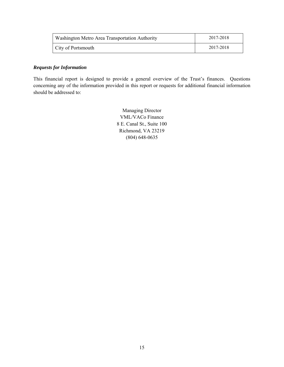| Washington Metro Area Transportation Authority | 2017-2018 |
|------------------------------------------------|-----------|
| City of Portsmouth                             | 2017-2018 |

### *Requests for Information*

This financial report is designed to provide a general overview of the Trust's finances. Questions concerning any of the information provided in this report or requests for additional financial information should be addressed to:

> Managing Director VML/VACo Finance 8 E. Canal St., Suite 100 Richmond, VA 23219 (804) 648-0635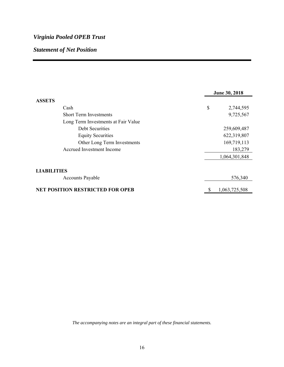### *Virginia Pooled OPEB Trust*

### *Statement of Net Position*

|                                         | June 30, 2018 |               |
|-----------------------------------------|---------------|---------------|
| <b>ASSETS</b>                           |               |               |
| Cash                                    | $\mathcal{S}$ | 2,744,595     |
| <b>Short Term Investments</b>           |               | 9,725,567     |
| Long Term Investments at Fair Value     |               |               |
| <b>Debt Securities</b>                  |               | 259,609,487   |
| <b>Equity Securities</b>                |               | 622,319,807   |
| Other Long Term Investments             |               | 169,719,113   |
| Accrued Investment Income               |               | 183,279       |
|                                         |               | 1,064,301,848 |
| <b>LIABILITIES</b>                      |               |               |
| <b>Accounts Payable</b>                 |               | 576,340       |
| <b>NET POSITION RESTRICTED FOR OPEB</b> |               | 1,063,725,508 |

*The accompanying notes are an integral part of these financial statements.*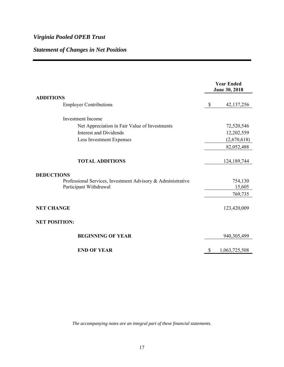### *Virginia Pooled OPEB Trust*

### *Statement of Changes in Net Position*

|                                                             | <b>Year Ended</b><br>June 30, 2018 |
|-------------------------------------------------------------|------------------------------------|
| <b>ADDITIONS</b>                                            |                                    |
| <b>Employer Contributions</b>                               | \$<br>42,137,256                   |
| <b>Investment Income</b>                                    |                                    |
| Net Appreciation in Fair Value of Investments               | 72,520,546                         |
| <b>Interest and Dividends</b>                               | 12,202,559                         |
| Less Investment Expenses                                    | (2,670,618)                        |
|                                                             | 82,052,488                         |
| <b>TOTAL ADDITIONS</b>                                      | 124, 189, 744                      |
| <b>DEDUCTIONS</b>                                           |                                    |
| Professional Services, Investment Advisory & Administrative | 754,130                            |
| Participant Withdrawal                                      | 15,605                             |
|                                                             | 769,735                            |
| <b>NET CHANGE</b>                                           | 123,420,009                        |
| <b>NET POSITION:</b>                                        |                                    |
| <b>BEGINNING OF YEAR</b>                                    | 940, 305, 499                      |
| <b>END OF YEAR</b>                                          | \$<br>1,063,725,508                |

*The accompanying notes are an integral part of these financial statements.*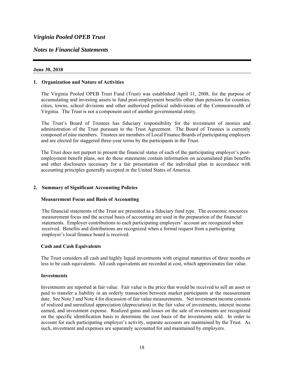### *Notes to Financial Statements*

### **June 30, 2018**

### **1. Organization and Nature of Activities**

The Virginia Pooled OPEB Trust Fund (Trust) was established April 11, 2008, for the purpose of accumulating and investing assets to fund post-employment benefits other than pensions for counties, cities, towns, school divisions and other authorized political subdivisions of the Commonwealth of Virginia. The Trust is not a component unit of another governmental entity.

The Trust's Board of Trustees has fiduciary responsibility for the investment of monies and administration of the Trust pursuant to the Trust Agreement. The Board of Trustees is currently composed of nine members. Trustees are members of Local Finance Boards of participating employers and are elected for staggered three-year terms by the participants in the Trust.

The Trust does not purport to present the financial status of each of the participating employer's postemployment benefit plans, nor do these statements contain information on accumulated plan benefits and other disclosures necessary for a fair presentation of the individual plan in accordance with accounting principles generally accepted in the United States of America.

### **2. Summary of Significant Accounting Policies**

### **Measurement Focus and Basis of Accounting**

The financial statements of the Trust are presented as a fiduciary fund type. The economic resources measurement focus and the accrual basis of accounting are used in the preparation of the financial statements. Employer contributions to each participating employers' account are recognized when received. Benefits and distributions are recognized when a formal request from a participating employer's local finance board is received.

### **Cash and Cash Equivalents**

The Trust considers all cash and highly liquid investments with original maturities of three months or less to be cash equivalents. All cash equivalents are recorded at cost, which approximates fair value.

### **Investments**

Investments are reported at fair value. Fair value is the price that would be received to sell an asset or paid to transfer a liability in an orderly transaction between market participants at the measurement date. See Note 3 and Note 4 for discussion of fair value measurements. Net investment income consists of realized and unrealized appreciation (depreciation) in the fair value of investments, interest income earned, and investment expense. Realized gains and losses on the sale of investments are recognized on the specific identification basis to determine the cost basis of the investments sold. In order to account for each participating employer's activity, separate accounts are maintained by the Trust. As such, investment and expenses are separately accounted for and maintained by employers.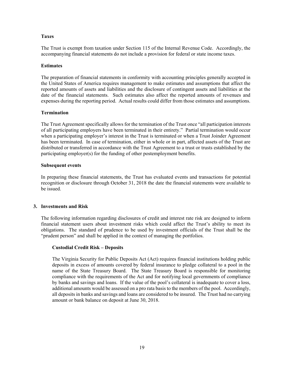### **Taxes**

The Trust is exempt from taxation under Section 115 of the Internal Revenue Code. Accordingly, the accompanying financial statements do not include a provision for federal or state income taxes.

### **Estimates**

The preparation of financial statements in conformity with accounting principles generally accepted in the United States of America requires management to make estimates and assumptions that affect the reported amounts of assets and liabilities and the disclosure of contingent assets and liabilities at the date of the financial statements. Such estimates also affect the reported amounts of revenues and expenses during the reporting period. Actual results could differ from those estimates and assumptions.

### **Termination**

The Trust Agreement specifically allows for the termination of the Trust once "all participation interests of all participating employers have been terminated in their entirety." Partial termination would occur when a participating employer's interest in the Trust is terminated or when a Trust Joinder Agreement has been terminated. In case of termination, either in whole or in part, affected assets of the Trust are distributed or transferred in accordance with the Trust Agreement to a trust or trusts established by the participating employer(s) for the funding of other postemployment benefits.

### **Subsequent events**

In preparing these financial statements, the Trust has evaluated events and transactions for potential recognition or disclosure through October 31, 2018 the date the financial statements were available to be issued.

### **3. Investments and Risk**

The following information regarding disclosures of credit and interest rate risk are designed to inform financial statement users about investment risks which could affect the Trust's ability to meet its obligations. The standard of prudence to be used by investment officials of the Trust shall be the "prudent person" and shall be applied in the context of managing the portfolios.

### **Custodial Credit Risk – Deposits**

The Virginia Security for Public Deposits Act (Act) requires financial institutions holding public deposits in excess of amounts covered by federal insurance to pledge collateral to a pool in the name of the State Treasury Board. The State Treasury Board is responsible for monitoring compliance with the requirements of the Act and for notifying local governments of compliance by banks and savings and loans. If the value of the pool's collateral is inadequate to cover a loss, additional amounts would be assessed on a pro rata basis to the members of the pool. Accordingly, all deposits in banks and savings and loans are considered to be insured. The Trust had no carrying amount or bank balance on deposit at June 30, 2018.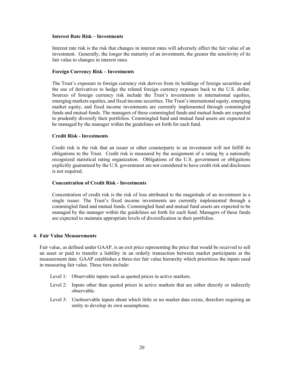### **Interest Rate Risk – Investments**

Interest rate risk is the risk that changes in interest rates will adversely affect the fair value of an investment. Generally, the longer the maturity of an investment, the greater the sensitivity of its fair value to changes in interest rates.

### **Foreign Currency Risk – Investments**

The Trust's exposure to foreign currency risk derives from its holdings of foreign securities and the use of derivatives to hedge the related foreign currency exposure back to the U.S. dollar. Sources of foreign currency risk include the Trust's investments in international equities, emerging markets equities, and fixed income securities. The Trust's international equity, emerging market equity, and fixed income investments are currently implemented through commingled funds and mutual funds. The managers of these commingled funds and mutual funds are expected to prudently diversify their portfolios. Commingled fund and mutual fund assets are expected to be managed by the manager within the guidelines set forth for each fund.

### **Credit Risk - Investments**

Credit risk is the risk that an issuer or other counterparty to an investment will not fulfill its obligations to the Trust. Credit risk is measured by the assignment of a rating by a nationally recognized statistical rating organization. Obligations of the U.S. government or obligations explicitly guaranteed by the U.S. government are not considered to have credit risk and disclosure is not required.

### **Concentration of Credit Risk - Investments**

Concentration of credit risk is the risk of loss attributed to the magnitude of an investment in a single issuer. The Trust's fixed income investments are currently implemented through a commingled fund and mutual funds. Commingled fund and mutual fund assets are expected to be managed by the manager within the guidelines set forth for each fund. Managers of these funds are expected to maintain appropriate levels of diversification in their portfolios.

### **4. Fair Value Measurements**

Fair value, as defined under GAAP, is an exit price representing the price that would be received to sell an asset or paid to transfer a liability in an orderly transaction between market participants at the measurement date. GAAP establishes a three-tier fair value hierarchy which prioritizes the inputs used in measuring fair value. These tiers include:

- Level 1: Observable inputs such as quoted prices in active markets.
- Level 2: Inputs other than quoted prices in active markets that are either directly or indirectly observable.
- Level 3: Unobservable inputs about which little or no market data exists, therefore requiring an entity to develop its own assumptions.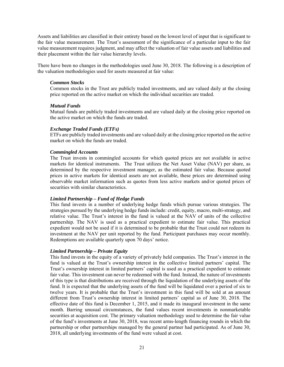Assets and liabilities are classified in their entirety based on the lowest level of input that is significant to the fair value measurement. The Trust's assessment of the significance of a particular input to the fair value measurement requires judgment, and may affect the valuation of fair value assets and liabilities and their placement within the fair value hierarchy levels.

There have been no changes in the methodologies used June 30, 2018. The following is a description of the valuation methodologies used for assets measured at fair value:

### *Common Stocks*

Common stocks in the Trust are publicly traded investments, and are valued daily at the closing price reported on the active market on which the individual securities are traded.

### *Mutual Funds*

Mutual funds are publicly traded investments and are valued daily at the closing price reported on the active market on which the funds are traded.

### *Exchange Traded Funds (ETFs)*

ETFs are publicly traded investments and are valued daily at the closing price reported on the active market on which the funds are traded.

### *Commingled Accounts*

The Trust invests in commingled accounts for which quoted prices are not available in active markets for identical instruments. The Trust utilizes the Net Asset Value (NAV) per share, as determined by the respective investment manager, as the estimated fair value. Because quoted prices in active markets for identical assets are not available, these prices are determined using observable market information such as quotes from less active markets and/or quoted prices of securities with similar characteristics.

### *Limited Partnership – Fund of Hedge Funds*

This fund invests in a number of underlying hedge funds which pursue various strategies. The strategies pursued by the underlying hedge funds include: credit, equity, macro, multi-strategy, and relative value. The Trust's interest in the fund is valued at the NAV of units of the collective partnership. The NAV is used as a practical expedient to estimate fair value. This practical expedient would not be used if it is determined to be probable that the Trust could not redeem its investment at the NAV per unit reported by the fund. Participant purchases may occur monthly. Redemptions are available quarterly upon 70 days' notice.

### *Limited Partnership – Private Equity*

This fund invests in the equity of a variety of privately held companies. The Trust's interest in the fund is valued at the Trust's ownership interest in the collective limited partners' capital. The Trust's ownership interest in limited partners' capital is used as a practical expedient to estimate fair value. This investment can never be redeemed with the fund. Instead, the nature of investments of this type is that distributions are received through the liquidation of the underlying assets of the fund. It is expected that the underlying assets of the fund will be liquidated over a period of six to twelve years. It is probable that the Trust's investment in this fund will be sold at an amount different from Trust's ownership interest in limited partners' capital as of June 30, 2018. The effective date of this fund is December 1, 2015, and it made its inaugural investment in the same month. Barring unusual circumstances, the fund values recent investments in nonmarketable securities at acquisition cost. The primary valuation methodology used to determine the fair value of the fund's investments at June 30, 2018, was recent arms-length financing rounds in which the partnership or other partnerships managed by the general partner had participated. As of June 30, 2018, all underlying investments of the fund were valued at cost.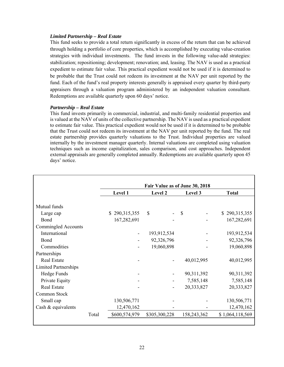### *Limited Partnership – Real Estate*

This fund seeks to provide a total return significantly in excess of the return that can be achieved through holding a portfolio of core properties, which is accomplished by executing value-creation strategies with individual investments. The fund invests in the following value-add strategies: stabilization; repositioning; development; renovation; and, leasing. The NAV is used as a practical expedient to estimate fair value. This practical expedient would not be used if it is determined to be probable that the Trust could not redeem its investment at the NAV per unit reported by the fund. Each of the fund's real property interests generally is appraised every quarter by third-party appraisers through a valuation program administered by an independent valuation consultant. Redemptions are available quarterly upon 60 days' notice.

### *Partnership – Real Estate*

This fund invests primarily in commercial, industrial, and multi-family residential properties and is valued at the NAV of units of the collective partnership. The NAV is used as a practical expedient to estimate fair value. This practical expedient would not be used if it is determined to be probable that the Trust could not redeem its investment at the NAV per unit reported by the fund. The real estate partnership provides quarterly valuations to the Trust. Individual properties are valued internally by the investment manager quarterly. Internal valuations are completed using valuation techniques such as income capitalization, sales comparison, and cost approaches. Independent external appraisals are generally completed annually. Redemptions are available quarterly upon 45 days' notice.

|                             | Fair Value as of June 30, 2018 |               |               |               |                 |  |
|-----------------------------|--------------------------------|---------------|---------------|---------------|-----------------|--|
|                             |                                | Level 1       | Level 2       | Level 3       | <b>Total</b>    |  |
|                             |                                |               |               |               |                 |  |
| Mutual funds                |                                |               |               |               |                 |  |
| Large cap                   |                                | \$290,315,355 | $\mathbb{S}$  | $\mathcal{S}$ | \$290,315,355   |  |
| <b>B</b> ond                |                                | 167,282,691   |               |               | 167,282,691     |  |
| Commingled Accounts         |                                |               |               |               |                 |  |
| International               |                                |               | 193,912,534   |               | 193,912,534     |  |
| Bond                        |                                |               | 92,326,796    |               | 92,326,796      |  |
| Commodities                 |                                |               | 19,060,898    |               | 19,060,898      |  |
| Partnerships                |                                |               |               |               |                 |  |
| <b>Real Estate</b>          |                                |               |               | 40,012,995    | 40,012,995      |  |
| <b>Limited Partnerships</b> |                                |               |               |               |                 |  |
| Hedge Funds                 |                                |               |               | 90,311,392    | 90,311,392      |  |
| Private Equity              |                                |               |               | 7,585,148     | 7,585,148       |  |
| <b>Real Estate</b>          |                                |               |               | 20,333,827    | 20,333,827      |  |
| Common Stock                |                                |               |               |               |                 |  |
| Small cap                   |                                | 130,506,771   |               |               | 130,506,771     |  |
| Cash & equivalents          |                                | 12,470,162    |               |               | 12,470,162      |  |
|                             | Total                          | \$600,574,979 | \$305,300,228 | 158,243,362   | \$1,064,118,569 |  |
|                             |                                |               |               |               |                 |  |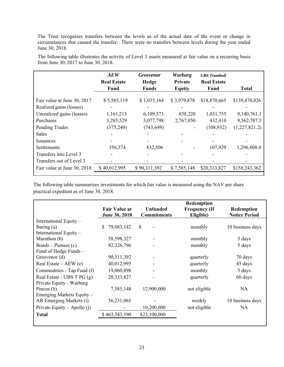The Trust recognizes transfers between the levels as of the actual date of the event or change in circumstances that caused the transfer. There were no transfers between levels during the year ended June 30, 2018.

The following table illustrates the activity of Level 3 assets measured at fair value on a recurring basis from June 30, 2017 to June 30, 2018:

|                                                        | AEW<br><b>Real Estate</b><br><b>Fund</b> | <b>Grosvenor</b><br>Hedge<br><b>Funds</b> | <b>Warburg</b><br>Private<br><b>Equity</b> | <b>UBS</b> Trumbull<br><b>Real Estate</b><br>Fund | <b>Total</b>  |
|--------------------------------------------------------|------------------------------------------|-------------------------------------------|--------------------------------------------|---------------------------------------------------|---------------|
| Fair value at June 30, 2017<br>Realized gains (losses) | \$5,585,119                              | \$1,035,164                               | \$3,979,878                                | \$18,870,665                                      | \$139,470,826 |
| Unrealized gains (losses)                              | 1,161,213                                | 6,109,573                                 | 838,220                                    | 1,031,755                                         | 9,140,761.1   |
| Purchases                                              | 3,285,529                                | 3,077,798                                 | 2,767,050                                  | 432,410                                           | 9,562,787.5   |
| Pending Trades                                         | (375,240)                                | (743, 649)                                |                                            | (108, 932)                                        | (1,227,821.2) |
| <b>Sales</b>                                           |                                          |                                           |                                            |                                                   |               |
| Issuances                                              |                                          |                                           |                                            |                                                   |               |
| Settlements                                            | 356,374                                  | 832,506                                   |                                            | 107,929                                           | 1,296,808.4   |
| Transfers into Level 3                                 |                                          |                                           |                                            |                                                   |               |
| Transfers out of Level 3                               |                                          |                                           |                                            |                                                   |               |
| Fair value at June 30, 2018                            | \$40,012,995                             | \$90,311,392                              | \$7,585,148                                | \$20,333,827                                      | \$158,243,362 |
|                                                        |                                          |                                           |                                            |                                                   |               |

The following table summarizes investments for which fair value is measured using the NAV per share practical expedient as of June 30, 2018.

|                             |                      |                    | Redemption           |                      |
|-----------------------------|----------------------|--------------------|----------------------|----------------------|
|                             | <b>Fair Value at</b> | <b>Unfunded</b>    | <b>Frequency (If</b> | Redemption           |
|                             | June 30, 2018        | <b>Commitments</b> | Eligible)            | <b>Notice Period</b> |
| International Equity $-$    |                      |                    |                      |                      |
| Baring (a)                  | 79,083,142<br>\$.    | \$                 | monthly              | 10 business days     |
| International Equity $-$    |                      |                    |                      |                      |
| Marathon (b)                | 58,598,327           |                    | monthly              | 5 days               |
| Bonds – Pioneer $(c)$       | 92,326,796           |                    | monthly              | 5 days               |
| Fund of Hedge Funds -       |                      |                    |                      |                      |
| Grosvenor $(d)$             | 90,311,392           |                    | quarterly            | 70 days              |
| Real Estate $-$ AEW (e)     | 40,012,995           |                    | quarterly            | 45 days              |
| Commodities - Tap Fund (f)  | 19,060,898           |                    | monthly              | 5 days               |
| Real Estate - UBS T PG (g)  | 20,333,827           |                    | quarterly            | 60 days              |
| Private Equity - Warburg    |                      |                    |                      |                      |
| Pincus (h)                  | 7,585,148            | 12,900,000         | not eligible         | <b>NA</b>            |
| Emerging Markets Equity -   |                      |                    |                      |                      |
| AB Emerging Markets (i)     | 56,231,065           |                    | weekly               | 10 business days     |
| Private Equity – Apollo (j) |                      | 10,200,000         | not eligible         | <b>NA</b>            |
| Total                       | \$463,543,590        | \$23,100,000       |                      |                      |
|                             |                      |                    |                      |                      |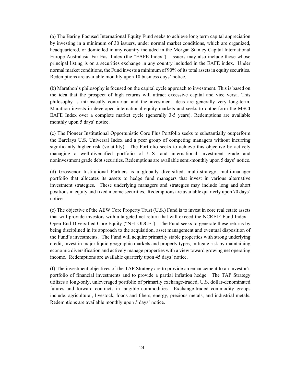(a) The Baring Focused International Equity Fund seeks to achieve long term capital appreciation by investing in a minimum of 30 issuers, under normal market conditions, which are organized, headquartered, or domiciled in any country included in the Morgan Stanley Capital International Europe Australasia Far East Index (the "EAFE Index"). Issuers may also include those whose principal listing is on a securities exchange in any country included in the EAFE index. Under normal market conditions, the Fund invests a minimum of 90% of its total assets in equity securities. Redemptions are available monthly upon 10 business days' notice.

(b) Marathon's philosophy is focused on the capital cycle approach to investment. This is based on the idea that the prospect of high returns will attract excessive capital and vice versa. This philosophy is intrinsically contrarian and the investment ideas are generally very long-term. Marathon invests in developed international equity markets and seeks to outperform the MSCI EAFE Index over a complete market cycle (generally 3-5 years). Redemptions are available monthly upon 5 days' notice.

(c) The Pioneer Institutional Opportunistic Core Plus Portfolio seeks to substantially outperform the Barclays U.S. Universal Index and a peer group of competing managers without incurring significantly higher risk (volatility). The Portfolio seeks to achieve this objective by actively managing a well-diversified portfolio of U.S. and international investment grade and noninvestment grade debt securities. Redemptions are available semi-monthly upon 5 days' notice.

(d) Grosvenor Institutional Partners is a globally diversified, multi-strategy, multi-manager portfolio that allocates its assets to hedge fund managers that invest in various alternative investment strategies. These underlying managers and strategies may include long and short positions in equity and fixed income securities. Redemptions are available quarterly upon 70 days' notice.

(e) The objective of the AEW Core Property Trust (U.S.) Fund is to invest in core real estate assets that will provide investors with a targeted net return that will exceed the NCREIF Fund Index – Open-End Diversified Core Equity ("NFI-ODCE"). The Fund seeks to generate these returns by being disciplined in its approach to the acquisition, asset management and eventual disposition of the Fund's investments. The Fund will acquire primarily stable properties with strong underlying credit, invest in major liquid geographic markets and property types, mitigate risk by maintaining economic diversification and actively manage properties with a view toward growing net operating income. Redemptions are available quarterly upon 45 days' notice.

(f) The investment objectives of the TAP Strategy are to provide an enhancement to an investor's portfolio of financial investments and to provide a partial inflation hedge. The TAP Strategy utilizes a long-only, unleveraged portfolio of primarily exchange-traded, U.S. dollar-denominated futures and forward contracts in tangible commodities. Exchange-traded commodity groups include: agricultural, livestock, foods and fibers, energy, precious metals, and industrial metals. Redemptions are available monthly upon 5 days' notice.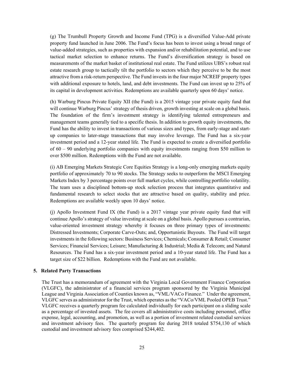(g) The Trumbull Property Growth and Income Fund (TPG) is a diversified Value-Add private property fund launched in June 2006. The Fund's focus has been to invest using a broad range of value-added strategies, such as properties with expansion and/or rehabilitation potential, and to use tactical market selection to enhance returns. The Fund's diversification strategy is based on measurements of the market basket of institutional real estate. The Fund utilizes UBS's robust real estate research group to tactically tilt the portfolio to sectors which they perceive to be the most attractive from a risk-return perspective. The Fund invests in the four major NCREIF property types with additional exposure to hotels, land, and debt investments. The Fund can invest up to 25% of its capital in development activities. Redemptions are available quarterly upon 60 days' notice.

(h) Warburg Pincus Private Equity XII (the Fund) is a 2015 vintage year private equity fund that will continue Warburg Pincus' strategy of thesis driven, growth investing at scale on a global basis. The foundation of the firm's investment strategy is identifying talented entrepreneurs and management teams generally tied to a specific thesis. In addition to growth equity investments, the Fund has the ability to invest in transactions of various sizes and types, from early-stage and startup companies to later-stage transactions that may involve leverage. The Fund has a six-year investment period and a 12-year stated life. The Fund is expected to create a diversified portfolio of 60 – 90 underlying portfolio companies with equity investments ranging from \$50 million to over \$500 million. Redemptions with the Fund are not available.

(i) AB Emerging Markets Strategic Core Equities Strategy is a long-only emerging markets equity portfolio of approximately 70 to 90 stocks. The Strategy seeks to outperform the MSCI Emerging Markets Index by 3 percentage points over full market cycles, while controlling portfolio volatility. The team uses a disciplined bottom-up stock selection process that integrates quantitative and fundamental research to select stocks that are attractive based on quality, stability and price. Redemptions are available weekly upon 10 days' notice.

(j) Apollo Investment Fund IX (the Fund) is a 2017 vintage year private equity fund that will continue Apollo's strategy of value investing at scale on a global basis. Apollo pursues a contrarian, value-oriented investment strategy whereby it focuses on three primary types of investments: Distressed Investments; Corporate Carve-Outs; and, Opportunistic Buyouts. The Fund will target investments in the following sectors: Business Services; Chemicals; Consumer & Retail; Consumer Services; Financial Services; Leisure; Manufacturing & Industrial; Media & Telecom; and Natural Resources. The Fund has a six-year investment period and a 10-year stated life. The Fund has a target size of \$22 billion. Redemptions with the Fund are not available.

### **5. Related Party Transactions**

The Trust has a memorandum of agreement with the Virginia Local Government Finance Corporation (VLGFC), the administrator of a financial services program sponsored by the Virginia Municipal League and Virginia Association of Counties known as, "VML/VACo Finance." Under the agreement, VLGFC serves as administrator for the Trust, which operates as the "VACo/VML Pooled OPEB Trust." VLGFC receives a quarterly program fee calculated individually for each participant on a sliding scale as a percentage of invested assets. The fee covers all administrative costs including personnel, office expense, legal, accounting, and promotion, as well as a portion of investment related custodial services and investment advisory fees. The quarterly program fee during 2018 totaled \$754,130 of which custodial and investment advisory fees comprised \$244,402.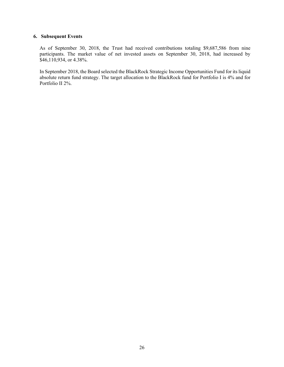### **6. Subsequent Events**

As of September 30, 2018, the Trust had received contributions totaling \$9,687,586 from nine participants. The market value of net invested assets on September 30, 2018, had increased by \$46,110,934, or 4.38%.

In September 2018, the Board selected the BlackRock Strategic Income Opportunities Fund for its liquid absolute return fund strategy. The target allocation to the BlackRock fund for Portfolio I is 4% and for Portfolio II 2%.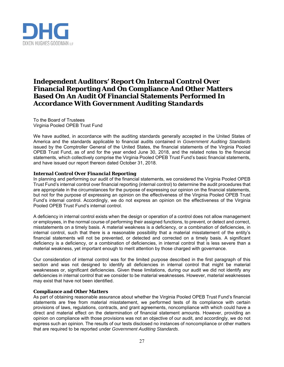

### **Independent Auditors' Report On Internal Control Over Financial Reporting And On Compliance And Other Matters Based On An Audit Of Financial Statements Performed In Accordance With** *Government Auditing Standards*

To the Board of Trustees Virginia Pooled OPEB Trust Fund

We have audited, in accordance with the auditing standards generally accepted in the United States of America and the standards applicable to financial audits contained in *Government Auditing Standards* issued by the Comptroller General of the United States, the financial statements of the Virginia Pooled OPEB Trust Fund, as of and for the year ended June 30, 2018, and the related notes to the financial statements, which collectively comprise the Virginia Pooled OPEB Trust Fund's basic financial statements, and have issued our report thereon dated October 31, 2018.

### *Internal Control Over Financial Reporting*

In planning and performing our audit of the financial statements, we considered the Virginia Pooled OPEB Trust Fund's internal control over financial reporting (internal control) to determine the audit procedures that are appropriate in the circumstances for the purpose of expressing our opinion on the financial statements, but not for the purpose of expressing an opinion on the effectiveness of the Virginia Pooled OPEB Trust Fund's internal control. Accordingly, we do not express an opinion on the effectiveness of the Virginia Pooled OPEB Trust Fund's internal control.

A deficiency in internal control exists when the design or operation of a control does not allow management or employees, in the normal course of performing their assigned functions, to prevent, or detect and correct, misstatements on a timely basis. A material weakness is a deficiency, or a combination of deficiencies, in internal control, such that there is a reasonable possibility that a material misstatement of the entity's financial statements will not be prevented, or detected and corrected on a timely basis. A significant deficiency is a deficiency, or a combination of deficiencies, in internal control that is less severe than a material weakness, yet important enough to merit attention by those charged with governance.

Our consideration of internal control was for the limited purpose described in the first paragraph of this section and was not designed to identify all deficiencies in internal control that might be material weaknesses or, significant deficiencies. Given these limitations, during our audit we did not identify any deficiencies in internal control that we consider to be material weaknesses. However, material weaknesses may exist that have not been identified.

### *Compliance and Other Matters*

As part of obtaining reasonable assurance about whether the Virginia Pooled OPEB Trust Fund's financial statements are free from material misstatement, we performed tests of its compliance with certain provisions of laws, regulations, contracts, and grant agreements, noncompliance with which could have a direct and material effect on the determination of financial statement amounts. However, providing an opinion on compliance with those provisions was not an objective of our audit, and accordingly, we do not express such an opinion. The results of our tests disclosed no instances of noncompliance or other matters that are required to be reported under *Government Auditing Standards*.